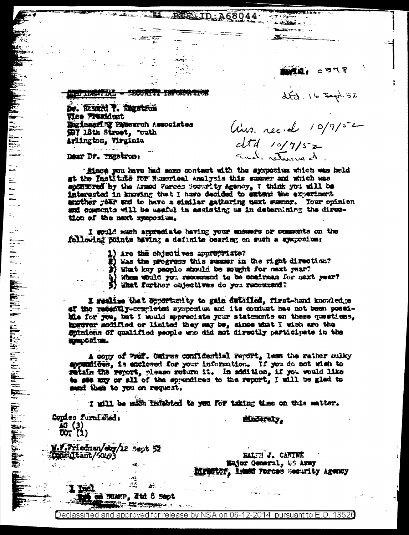sta al periodi Слевник в село в село в село в село в село в село в село в село в село в село в село в село в село в село в се<br>Населението на село в село в село в село в село в село в село в село в село в село в село в село в село в сел

 $\frac{1}{2} \frac{1}{2} \frac{1}{2} \frac{1}{2} \frac{1}{2} \frac{1}{2} \frac{1}{2} \frac{1}{2} \frac{1}{2} \frac{1}{2} \frac{1}{2} \frac{1}{2} \frac{1}{2} \frac{1}{2} \frac{1}{2} \frac{1}{2} \frac{1}{2} \frac{1}{2} \frac{1}{2} \frac{1}{2} \frac{1}{2} \frac{1}{2} \frac{1}{2} \frac{1}{2} \frac{1}{2} \frac{1}{2} \frac{1}{2} \frac{1}{2} \frac{1}{2} \frac{1}{2} \frac{1}{2} \frac{$ 

De. REMAN T. Theatron Vice President Engineering Research Associates 907 18th Street, Touth Arlington, Wirginia

Dear DF. Ingstron:

 $\sim$  .

⋍ 로

i<br>Se

É.

finge you have had some contact with the symposium which was held at the Institute for Numerical Analysis this summer and which was spillword by the Armod Forces Socurity Agency, I think you will be interested in knowing that I have decided to extend the experiment enother year and to have a similar gathering next surver. Your opinion and commonts will be useful in assisting us in determining the direction of the next symposium.

REE ID: A68044

.<br>External:

 $lins.$  recid  $10/9/52$ 

 $dtd$  10/7/52

87ED ISLE

 $dt_{cl}$ . 16 Expl. 52

I would much appropiate having your ensuers or commonts on the following points having a defunite bearing on such a symposium:

- 1) Are the objectives appropriate?
- #} Was the progress this summer in the right direction?

3) What key paople should be sought for next year?

Whom would you recommend to be chairman for next year?

5) What further objectives do you recommend?

I mulise that opportunity to gain dutified, first-hand knowledge af the redently-completen symposium and its confunt has not been possihis for you, but I would appreciate your statesents on these questions. howwwar modified or limited they may be, since what I wish are the spinions of qualified people who did not directly participate in the **MONDORITOR.** 

A copy of Pref. Cairns confidential report, less the rather bulky appendices, is enclosed for your information. If you do not wish to retain the report, please return it. In addition, if you would like to see any or all of the apporatess to the report, I will be glad to mund them to you on request.

I will be mich fidebted to you for taking time on this matter.

Copies furnished: 10 (3)<br>UOT (1)

<u> liid I</u>

dinastely,

M.F.Friedman/eby/12 Sept 52 **Austriant/20193** 

RALIN J. CANTHE Major General, US Army **DIFMETOR, Lemmer Forces Security Agency** 

**NEGERP, Jtd. 8 Sept** 

 $-5$ 

ينين

Declassified and approved for release by NSA on 06-12-2014  $\,$  pursuant to E.O. 13526  $\,$